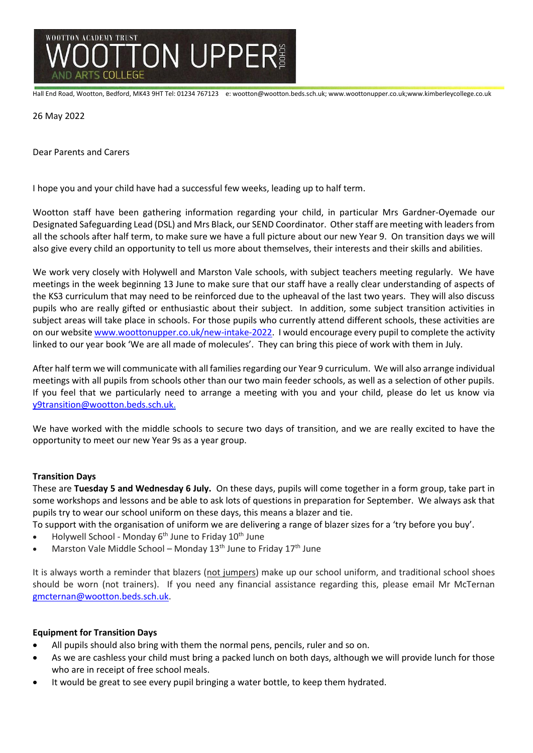

Hall End Road, Wootton, Bedford, MK43 9HT Tel: 01234 767123 e: wootton@wootton.beds.sch.uk; www.woottonupper.co.uk;www.kimberleycollege.co.uk

26 May 2022

Dear Parents and Carers

I hope you and your child have had a successful few weeks, leading up to half term.

Wootton staff have been gathering information regarding your child, in particular Mrs Gardner-Oyemade our Designated Safeguarding Lead (DSL) and Mrs Black, our SEND Coordinator. Other staff are meeting with leaders from all the schools after half term, to make sure we have a full picture about our new Year 9. On transition days we will also give every child an opportunity to tell us more about themselves, their interests and their skills and abilities.

We work very closely with Holywell and Marston Vale schools, with subject teachers meeting regularly. We have meetings in the week beginning 13 June to make sure that our staff have a really clear understanding of aspects of the KS3 curriculum that may need to be reinforced due to the upheaval of the last two years. They will also discuss pupils who are really gifted or enthusiastic about their subject. In addition, some subject transition activities in subject areas will take place in schools. For those pupils who currently attend different schools, these activities are on our website [www.woottonupper.co.uk/new-intake-2022.](http://www.woottonupper.co.uk/new-intake-2022) I would encourage every pupil to complete the activity linked to our year book 'We are all made of molecules'. They can bring this piece of work with them in July.

After half term we will communicate with all families regarding our Year 9 curriculum. We will also arrange individual meetings with all pupils from schools other than our two main feeder schools, as well as a selection of other pupils. If you feel that we particularly need to arrange a meeting with you and your child, please do let us know via [y9transition@wootton.beds.sch.uk.](mailto:y9transition@wootton.beds.sch.uk)

We have worked with the middle schools to secure two days of transition, and we are really excited to have the opportunity to meet our new Year 9s as a year group.

## **Transition Days**

These are **Tuesday 5 and Wednesday 6 July.** On these days, pupils will come together in a form group, take part in some workshops and lessons and be able to ask lots of questions in preparation for September. We always ask that pupils try to wear our school uniform on these days, this means a blazer and tie.

To support with the organisation of uniform we are delivering a range of blazer sizes for a 'try before you buy'.

- Holywell School Monday 6<sup>th</sup> June to Friday 10<sup>th</sup> June
- Marston Vale Middle School Monday  $13<sup>th</sup>$  June to Friday  $17<sup>th</sup>$  June

It is always worth a reminder that blazers (not jumpers) make up our school uniform, and traditional school shoes should be worn (not trainers). If you need any financial assistance regarding this, please email Mr McTernan [gmcternan@wootton.beds.sch.uk.](mailto:gmcternan@wootton.beds.sch.uk)

## **Equipment for Transition Days**

- All pupils should also bring with them the normal pens, pencils, ruler and so on.
- As we are cashless your child must bring a packed lunch on both days, although we will provide lunch for those who are in receipt of free school meals.
- It would be great to see every pupil bringing a water bottle, to keep them hydrated.